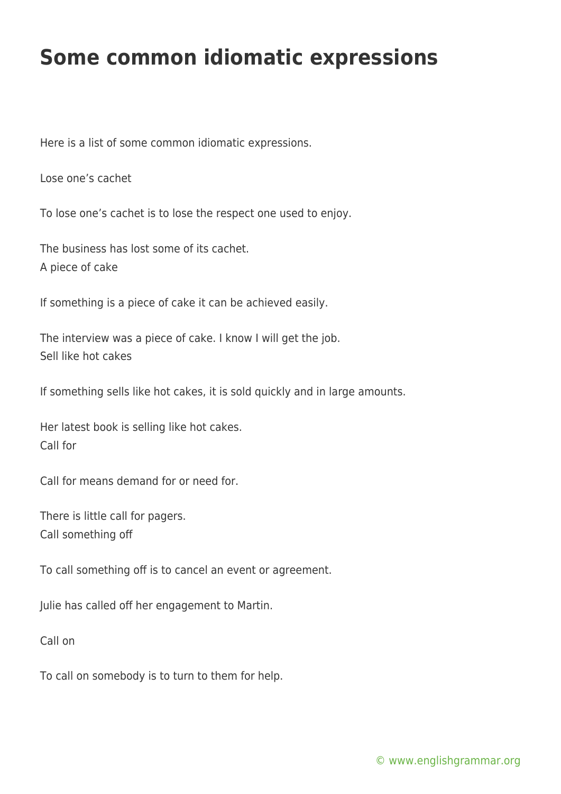## **Some common idiomatic expressions**

Here is a list of some common idiomatic expressions.

Lose one's cachet

To lose one's cachet is to lose the respect one used to enjoy.

The business has lost some of its cachet. A piece of cake

If something is a piece of cake it can be achieved easily.

The interview was a piece of cake. I know I will get the job. Sell like hot cakes

If something sells like hot cakes, it is sold quickly and in large amounts.

Her latest book is selling like hot cakes. Call for

Call for means demand for or need for.

There is little call for pagers. Call something off

To call something off is to cancel an event or agreement.

Julie has called off her engagement to Martin.

Call on

To call on somebody is to turn to them for help.